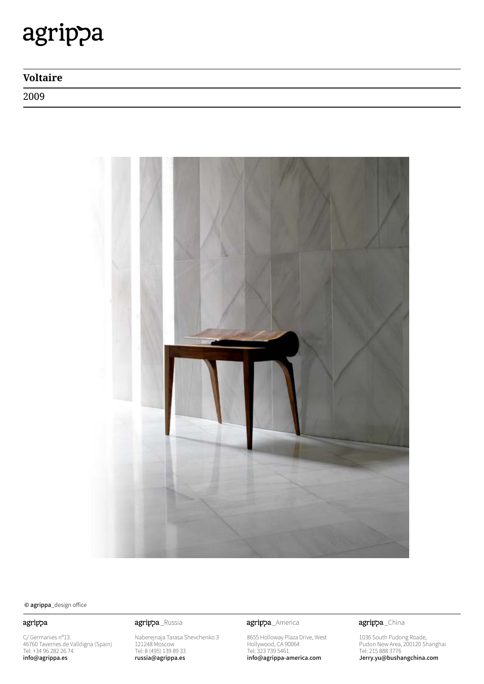# agrippa

## **Voltaire**

2009



© agrippa\_design office

### agrippa

C/ Germanies nº13. 46760 Tavernes de Valldigna (Spain) Tel: +34 96 282 26 74 info@agrippa.es

Naberejnaja Tarasa Shevchenko 3 121248 Moscow Tel: 8 (495) 139 89 33 russia@agrippa.es

agrippa\_Russia **agrippa**\_America

8655 Holloway Plaza Drive, West Hollywood, CA 90064 Tel: 323 739 5461 info@agrippa-america.com

agrippa\_China

1036 South Pudong Roade, Pudon New Area, 200120 Shanghai Tel: 215 888 3776 Jerry.yu@bushangchina.com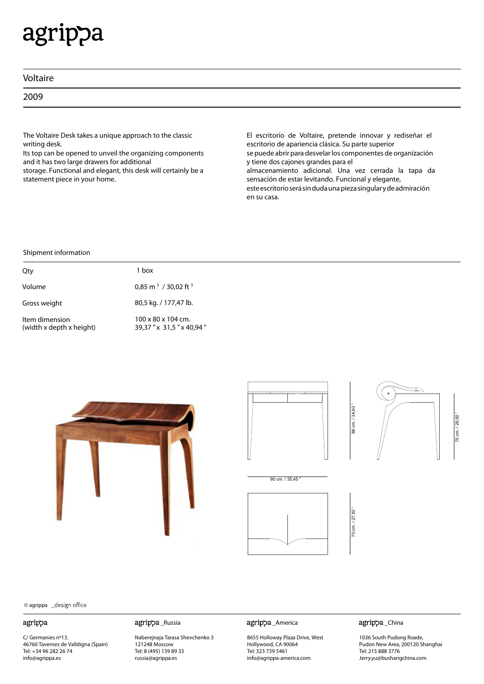## agrippa

| Voltaire |  |
|----------|--|
| 2009     |  |

The Voltaire Desk takes a unique approach to the classic writing desk.

Its top can be opened to unveil the organizing components and it has two large drawers for additional storage. Functional and elegant, this desk will certainly be a statement piece in your home.

El escritorio de Voltaire, pretende innovar y rediseñar el escritorio de apariencia clásica. Su parte superior se puede abrir para desvelar los componentes de organización y tiene dos cajones grandes para el almacenamiento adicional. Una vez cerrada la tapa da sensación de estar levitando. Funcional y elegante, esteescritorioserásindudaunapiezasingularydeadmiración en su casa.

### Shipment information

| Qty                                        | 1 box                                                     |
|--------------------------------------------|-----------------------------------------------------------|
| Volume                                     | 0,85 m <sup>3</sup> / 30,02 ft <sup>3</sup>               |
| Gross weight                               | 80,5 kg. / 177,47 lb.                                     |
| Item dimension<br>(width x depth x height) | $100 \times 80 \times 104$ cm.<br>39,37" x 31,5" x 40,94" |







90 cm. / 35.45



70 cm. / 27,50 " 70 cm. / 27,50

88 cm. / 34,50 "

88 cm. / 34.50

75 cm. / 29,50 "75 cm. / 29,50



© agrippa

### agrippa

C/ Germanies nº13. 46760 Tavernes de Valldigna (Spain) Tel: +34 96 282 26 74 info@agrippa.es

agrippa\_Russia agrippa\_America

Naberejnaja Tarasa Shevchenko 3 121248 Moscow Tel: 8 (495) 139 89 33 russia@agrippa.es

8655 Holloway Plaza Drive, West Hollywood, CA 90064 Tel: 323 739 5461 info@agrippa-america.com

agrippa\_China

1036 South Pudong Roade, Pudon New Area, 200120 Shanghai Tel: 215 888 3776 Jerry.yu@bushangchina.com